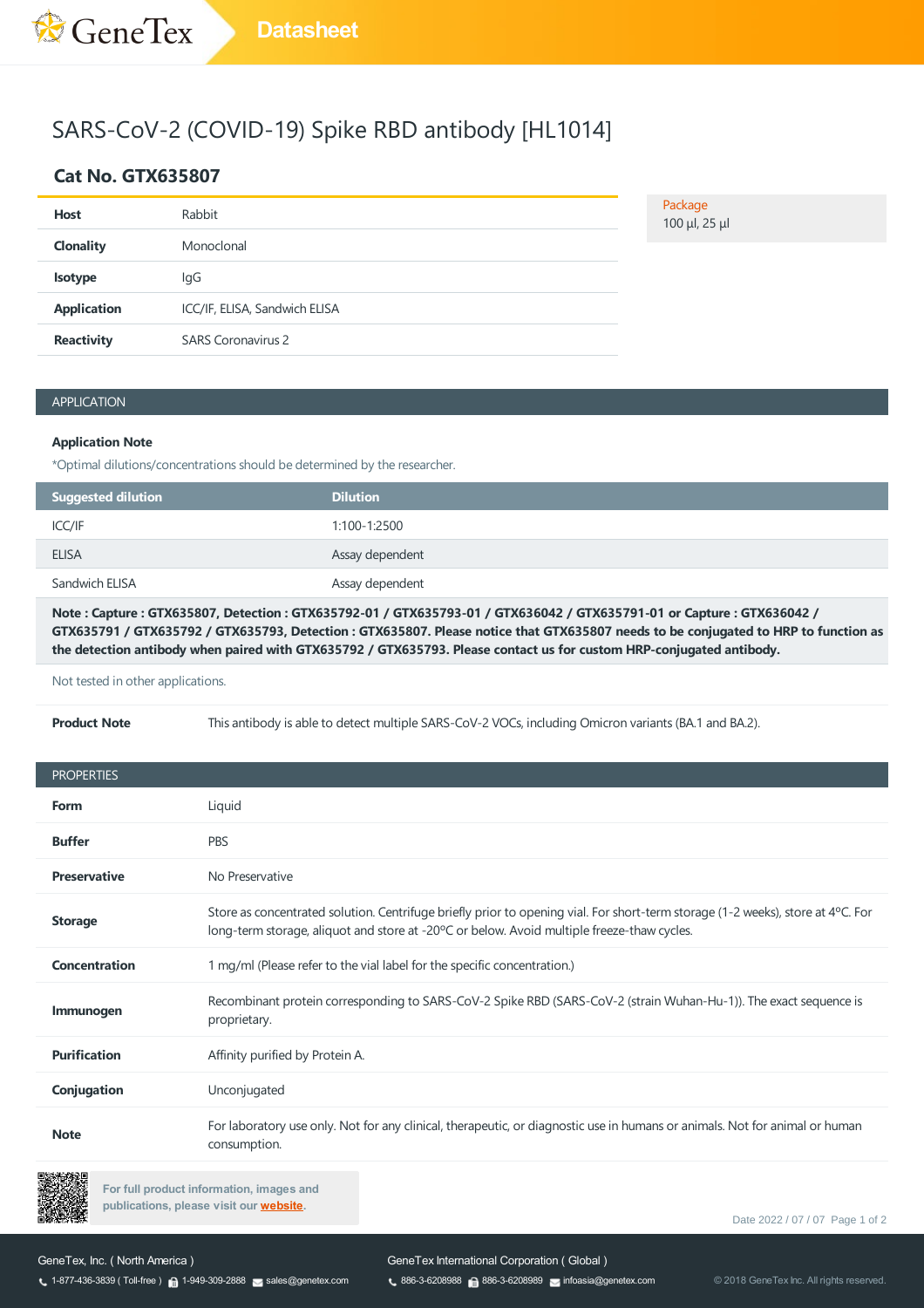# SARS-CoV-2 (COVID-19) Spike RBD antibody [HL1014]

## **Cat No. GTX635807**

| <b>Host</b>        | Rabbit                        |
|--------------------|-------------------------------|
| <b>Clonality</b>   | Monoclonal                    |
| <b>Isotype</b>     | lgG                           |
| <b>Application</b> | ICC/IF, ELISA, Sandwich ELISA |
| <b>Reactivity</b>  | <b>SARS Coronavirus 2</b>     |

Package

100 μl, 25 μl

### APPLICATION

#### **Application Note**

\*Optimal dilutions/concentrations should be determined by the researcher.

| Suggested dilution | <b>Dilution</b> |
|--------------------|-----------------|
| ICC/IF             | 1:100-1:2500    |
| <b>ELISA</b>       | Assay dependent |
| Sandwich ELISA     | Assay dependent |

Note: Capture: GTX635807, Detection: GTX635792-01 / GTX635793-01 / GTX636042 / GTX635791-01 or Capture: GTX636042 / GTX635791 / GTX635792 / GTX635793, Detection: GTX635807. Please notice that GTX635807 needs to be conjugated to HRP to function as the detection antibody when paired with GTX635792 / GTX635793. Please contact us for custom HRP-conjugated antibody.

Not tested in other applications.

**Product Note** This antibody is able to detect multiple SARS-CoV-2 VOCs, including Omicron variants (BA.1 and BA.2).

| <b>PROPERTIES</b>    |                                                                                                                                                                                                                                |
|----------------------|--------------------------------------------------------------------------------------------------------------------------------------------------------------------------------------------------------------------------------|
| <b>Form</b>          | Liquid                                                                                                                                                                                                                         |
| <b>Buffer</b>        | <b>PBS</b>                                                                                                                                                                                                                     |
| <b>Preservative</b>  | No Preservative                                                                                                                                                                                                                |
| <b>Storage</b>       | Store as concentrated solution. Centrifuge briefly prior to opening vial. For short-term storage (1-2 weeks), store at 4 °C. For<br>long-term storage, aliquot and store at -20°C or below. Avoid multiple freeze-thaw cycles. |
| <b>Concentration</b> | 1 mg/ml (Please refer to the vial label for the specific concentration.)                                                                                                                                                       |
| Immunogen            | Recombinant protein corresponding to SARS-CoV-2 Spike RBD (SARS-CoV-2 (strain Wuhan-Hu-1)). The exact sequence is<br>proprietary.                                                                                              |
| <b>Purification</b>  | Affinity purified by Protein A.                                                                                                                                                                                                |
| Conjugation          | Unconjugated                                                                                                                                                                                                                   |
| <b>Note</b>          | For laboratory use only. Not for any clinical, therapeutic, or diagnostic use in humans or animals. Not for animal or human<br>consumption.                                                                                    |



**For full product information, images and publications, please visit our [website.](https://www.genetex.com/Product/Detail/SARS-CoV-2-COVID-19-Spike-RBD-antibody-HL1014/GTX635807)**

Date 2022 / 07 / 07 Page 1 of 2